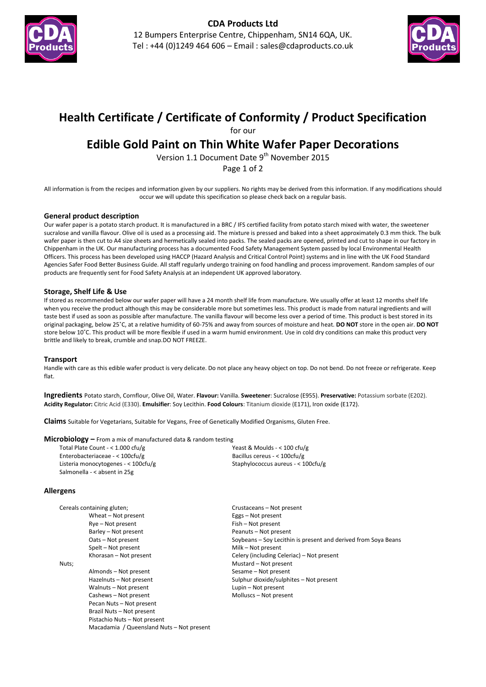



# **Health Certificate / Certificate of Conformity / Product Specification**

for our

## **Edible Gold Paint on Thin White Wafer Paper Decorations**

Version 1.1 Document Date 9<sup>th</sup> November 2015

Page 1 of 2

All information is from the recipes and information given by our suppliers. No rights may be derived from this information. If any modifications should occur we will update this specification so please check back on a regular basis.

#### **General product description**

Our wafer paper is a potato starch product. It is manufactured in a BRC / IFS certified facility from potato starch mixed with water, the sweetener sucralose and vanilla flavour. Olive oil is used as a processing aid. The mixture is pressed and baked into a sheet approximately 0.3 mm thick. The bulk wafer paper is then cut to A4 size sheets and hermetically sealed into packs. The sealed packs are opened, printed and cut to shape in our factory in Chippenham in the UK. Our manufacturing process has a documented Food Safety Management System passed by local Environmental Health Officers. This process has been developed using HACCP (Hazard Analysis and Critical Control Point) systems and in line with the UK Food Standard Agencies Safer Food Better Business Guide. All staff regularly undergo training on food handling and process improvement. Random samples of our products are frequently sent for Food Safety Analysis at an independent UK approved laboratory.

### **Storage, Shelf Life & Use**

If stored as recommended below our wafer paper will have a 24 month shelf life from manufacture. We usually offer at least 12 months shelf life when you receive the product although this may be considerable more but sometimes less. This product is made from natural ingredients and will taste best if used as soon as possible after manufacture. The vanilla flavour will become less over a period of time. This product is best stored in its original packaging, below 25˚C, at a relative humidity of 60-75% and away from sources of moisture and heat. **DO NOT** store in the open air. **DO NOT** store below 10˚C. This product will be more flexible if used in a warm humid environment. Use in cold dry conditions can make this product very brittle and likely to break, crumble and snap.DO NOT FREEZE.

#### **Transport**

Handle with care as this edible wafer product is very delicate. Do not place any heavy object on top. Do not bend. Do not freeze or refrigerate. Keep flat.

**Ingredients** Potato starch, Cornflour, Olive Oil, Water. **Flavour:** Vanilla. **Sweetener**: Sucralose (E955). **Preservative:** Potassium sorbate (E202). **Acidity Regulator:** Citric Acid (E330). **Emulsifier**: Soy Lecithin. **Food Colours**: Titanium dioxide (E171), Iron oxide (E172).

**Claims** Suitable for Vegetarians, Suitable for Vegans, Free of Genetically Modified Organisms, Gluten Free.

#### **Microbiology –** From a mix of manufactured data & random testing

Total Plate Count - < 1.000 cfu/g Enterobacteriaceae - < 100cfu/g Listeria monocytogenes - < 100cfu/g Salmonella - < absent in 25g Yeast & Moulds - < 100 cfu/g Bacillus cereus - < 100cfu/g Staphylococcus aureus - < 100cfu/g

#### **Allergens**

| Cereals containing gluten;                | Crustaceans - Not present                                      |
|-------------------------------------------|----------------------------------------------------------------|
| Wheat - Not present                       | Eggs – Not present                                             |
| Rye – Not present                         | Fish - Not present                                             |
| Barley - Not present                      | Peanuts - Not present                                          |
| Oats - Not present                        | Soybeans – Soy Lecithin is present and derived from Soya Beans |
| Spelt – Not present                       | Milk – Not present                                             |
| Khorasan - Not present                    | Celery (including Celeriac) – Not present                      |
| Nuts;                                     | Mustard - Not present                                          |
| Almonds - Not present                     | Sesame - Not present                                           |
| Hazelnuts - Not present                   | Sulphur dioxide/sulphites - Not present                        |
| Walnuts - Not present                     | Lupin – Not present                                            |
| Cashews - Not present                     | Molluscs - Not present                                         |
| Pecan Nuts - Not present                  |                                                                |
| Brazil Nuts - Not present                 |                                                                |
| Pistachio Nuts - Not present              |                                                                |
| Macadamia / Queensland Nuts - Not present |                                                                |